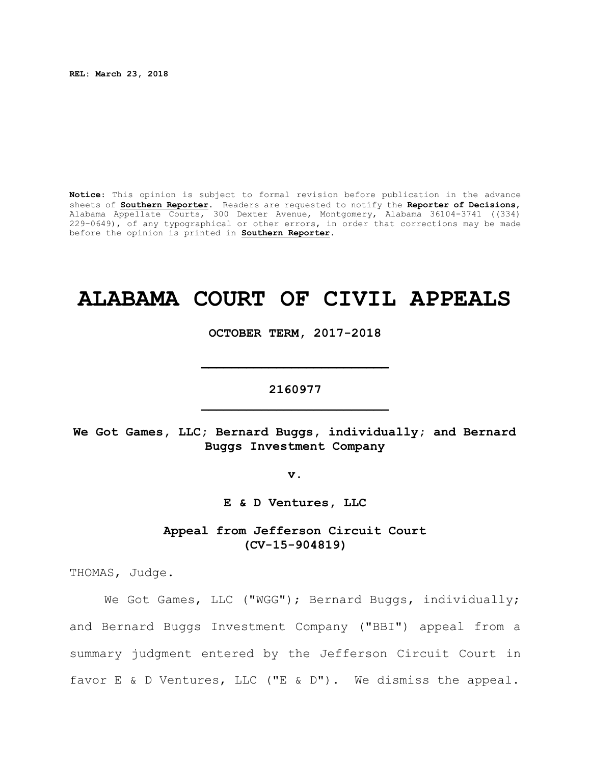**REL: March 23, 2018**

**Notice**: This opinion is subject to formal revision before publication in the advance sheets of **Southern Reporter**. Readers are requested to notify the **Reporter of Decisions**, Alabama Appellate Courts, 300 Dexter Avenue, Montgomery, Alabama 36104-3741 ((334) 229-0649), of any typographical or other errors, in order that corrections may be made before the opinion is printed in **Southern Reporter**.

# **ALABAMA COURT OF CIVIL APPEALS**

**OCTOBER TERM, 2017-2018**

## **2160977 \_\_\_\_\_\_\_\_\_\_\_\_\_\_\_\_\_\_\_\_\_\_\_\_\_**

**\_\_\_\_\_\_\_\_\_\_\_\_\_\_\_\_\_\_\_\_\_\_\_\_\_**

**We Got Games, LLC; Bernard Buggs, individually; and Bernard Buggs Investment Company**

**v.**

**E & D Ventures, LLC**

**Appeal from Jefferson Circuit Court (CV-15-904819)**

THOMAS, Judge.

We Got Games, LLC ("WGG"); Bernard Buggs, individually; and Bernard Buggs Investment Company ("BBI") appeal from a summary judgment entered by the Jefferson Circuit Court in favor E & D Ventures, LLC ("E & D"). We dismiss the appeal.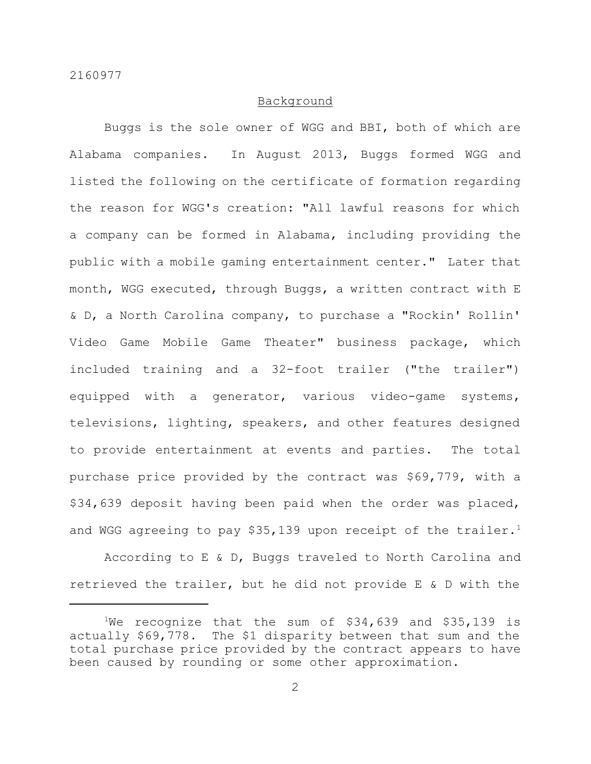#### Background

Buggs is the sole owner of WGG and BBI, both of which are Alabama companies. In August 2013, Buggs formed WGG and listed the following on the certificate of formation regarding the reason for WGG's creation: "All lawful reasons for which a company can be formed in Alabama, including providing the public with a mobile gaming entertainment center." Later that month, WGG executed, through Buggs, a written contract with E & D, a North Carolina company, to purchase a "Rockin' Rollin' Video Game Mobile Game Theater" business package, which included training and a 32-foot trailer ("the trailer") equipped with a generator, various video-game systems, televisions, lighting, speakers, and other features designed to provide entertainment at events and parties. The total purchase price provided by the contract was \$69,779, with a \$34,639 deposit having been paid when the order was placed, and WGG agreeing to pay \$35,139 upon receipt of the trailer.<sup>1</sup>

According to E & D, Buggs traveled to North Carolina and retrieved the trailer, but he did not provide E & D with the

<sup>&</sup>lt;sup>1</sup>We recognize that the sum of  $$34,639$  and  $$35,139$  is actually \$69,778. The \$1 disparity between that sum and the total purchase price provided by the contract appears to have been caused by rounding or some other approximation.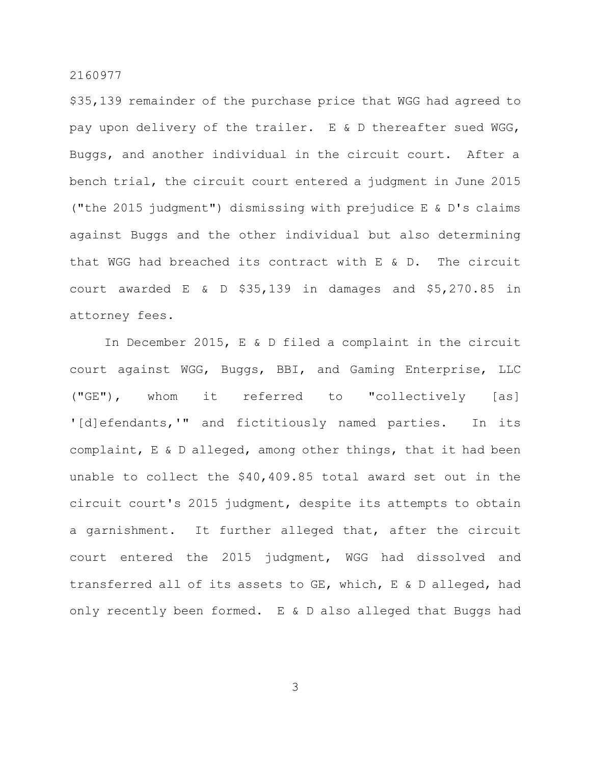\$35,139 remainder of the purchase price that WGG had agreed to pay upon delivery of the trailer. E & D thereafter sued WGG, Buggs, and another individual in the circuit court. After a bench trial, the circuit court entered a judgment in June 2015 ("the 2015 judgment") dismissing with prejudice E & D's claims against Buggs and the other individual but also determining that WGG had breached its contract with E & D. The circuit court awarded E & D \$35,139 in damages and \$5,270.85 in attorney fees.

In December 2015, E & D filed a complaint in the circuit court against WGG, Buggs, BBI, and Gaming Enterprise, LLC ("GE"), whom it referred to "collectively [as] '[d]efendants,'" and fictitiously named parties. In its complaint, E & D alleged, among other things, that it had been unable to collect the \$40,409.85 total award set out in the circuit court's 2015 judgment, despite its attempts to obtain a garnishment. It further alleged that, after the circuit court entered the 2015 judgment, WGG had dissolved and transferred all of its assets to GE, which, E & D alleged, had only recently been formed. E & D also alleged that Buggs had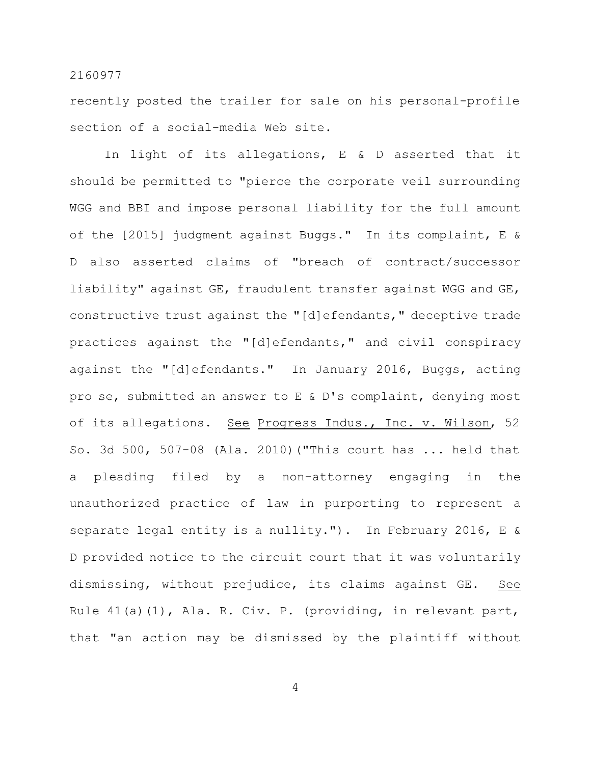recently posted the trailer for sale on his personal-profile section of a social-media Web site.

In light of its allegations, E & D asserted that it should be permitted to "pierce the corporate veil surrounding WGG and BBI and impose personal liability for the full amount of the [2015] judgment against Buggs." In its complaint, E & D also asserted claims of "breach of contract/successor liability" against GE, fraudulent transfer against WGG and GE, constructive trust against the "[d]efendants," deceptive trade practices against the "[d]efendants," and civil conspiracy against the "[d]efendants." In January 2016, Buggs, acting pro se, submitted an answer to E & D's complaint, denying most of its allegations. See Progress Indus., Inc. v. Wilson, 52 So. 3d 500, 507-08 (Ala. 2010)("This court has ... held that a pleading filed by a non-attorney engaging in the unauthorized practice of law in purporting to represent a separate legal entity is a nullity."). In February 2016, E & D provided notice to the circuit court that it was voluntarily dismissing, without prejudice, its claims against GE. See Rule 41(a)(1), Ala. R. Civ. P. (providing, in relevant part, that "an action may be dismissed by the plaintiff without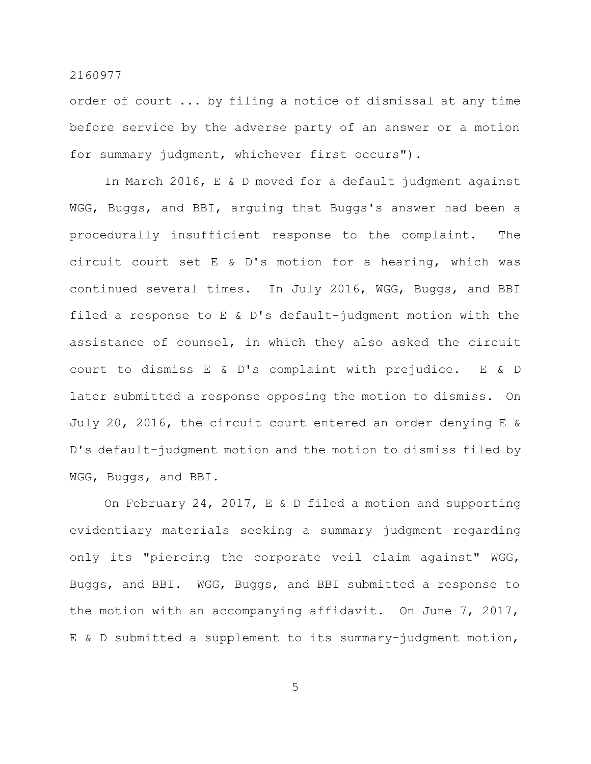order of court ... by filing a notice of dismissal at any time before service by the adverse party of an answer or a motion for summary judgment, whichever first occurs").

In March 2016, E & D moved for a default judgment against WGG, Buggs, and BBI, arguing that Buggs's answer had been a procedurally insufficient response to the complaint. The circuit court set E & D's motion for a hearing, which was continued several times. In July 2016, WGG, Buggs, and BBI filed a response to E & D's default-judgment motion with the assistance of counsel, in which they also asked the circuit court to dismiss E & D's complaint with prejudice. E & D later submitted a response opposing the motion to dismiss. On July 20, 2016, the circuit court entered an order denying E & D's default-judgment motion and the motion to dismiss filed by WGG, Buggs, and BBI.

On February 24, 2017, E & D filed a motion and supporting evidentiary materials seeking a summary judgment regarding only its "piercing the corporate veil claim against" WGG, Buggs, and BBI. WGG, Buggs, and BBI submitted a response to the motion with an accompanying affidavit. On June 7, 2017, E & D submitted a supplement to its summary-judgment motion,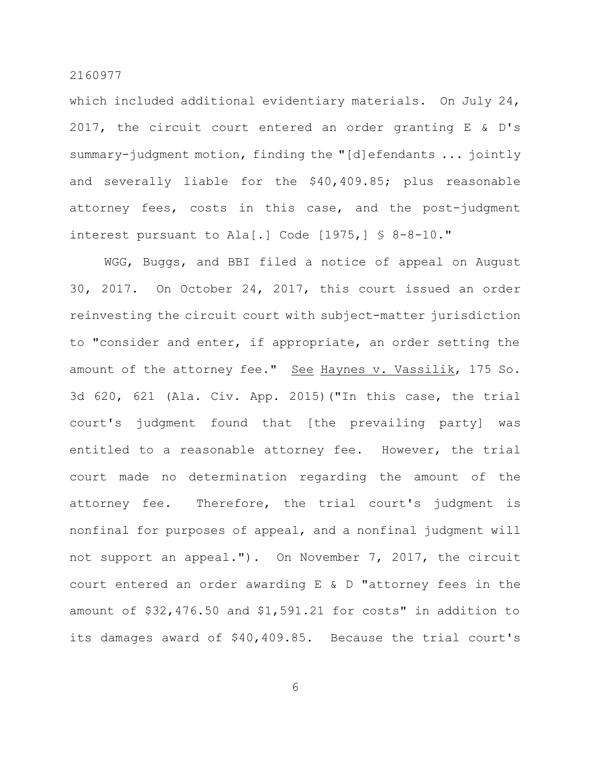which included additional evidentiary materials. On July 24, 2017, the circuit court entered an order granting E & D's summary-judgment motion, finding the "[d]efendants ... jointly and severally liable for the \$40,409.85; plus reasonable attorney fees, costs in this case, and the post-judgment interest pursuant to Ala[.] Code  $[1975, 1 \text{ S } 8-8-10.$ "

WGG, Buggs, and BBI filed a notice of appeal on August 30, 2017. On October 24, 2017, this court issued an order reinvesting the circuit court with subject-matter jurisdiction to "consider and enter, if appropriate, an order setting the amount of the attorney fee." See Haynes v. Vassilik, 175 So. 3d 620, 621 (Ala. Civ. App. 2015)("In this case, the trial court's judgment found that [the prevailing party] was entitled to a reasonable attorney fee. However, the trial court made no determination regarding the amount of the attorney fee. Therefore, the trial court's judgment is nonfinal for purposes of appeal, and a nonfinal judgment will not support an appeal."). On November 7, 2017, the circuit court entered an order awarding E & D "attorney fees in the amount of \$32,476.50 and \$1,591.21 for costs" in addition to its damages award of \$40,409.85. Because the trial court's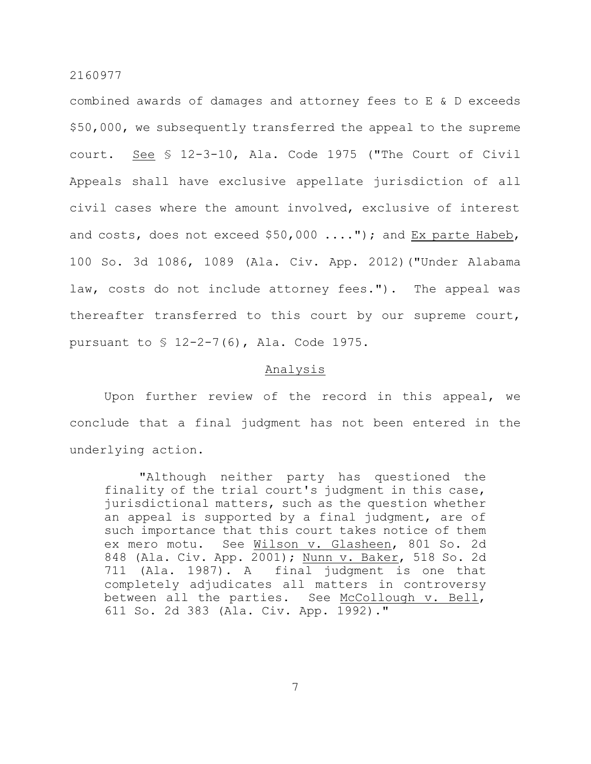combined awards of damages and attorney fees to E & D exceeds \$50,000, we subsequently transferred the appeal to the supreme court. See § 12-3-10, Ala. Code 1975 ("The Court of Civil Appeals shall have exclusive appellate jurisdiction of all civil cases where the amount involved, exclusive of interest and costs, does not exceed \$50,000 ...."); and Ex parte Habeb, 100 So. 3d 1086, 1089 (Ala. Civ. App. 2012)("Under Alabama law, costs do not include attorney fees."). The appeal was thereafter transferred to this court by our supreme court, pursuant to § 12-2-7(6), Ala. Code 1975.

### Analysis

Upon further review of the record in this appeal, we conclude that a final judgment has not been entered in the underlying action.

"Although neither party has questioned the finality of the trial court's judgment in this case, jurisdictional matters, such as the question whether an appeal is supported by a final judgment, are of such importance that this court takes notice of them<br>ex mero motu. See Wilson v. Glasheen, 801 So. 2d See Wilson v. Glasheen, 801 So. 2d 848 (Ala. Civ. App. 2001); Nunn v. Baker, 518 So. 2d 711 (Ala. 1987). A final judgment is one that completely adjudicates all matters in controversy between all the parties. See McCollough v. Bell, 611 So. 2d 383 (Ala. Civ. App. 1992)."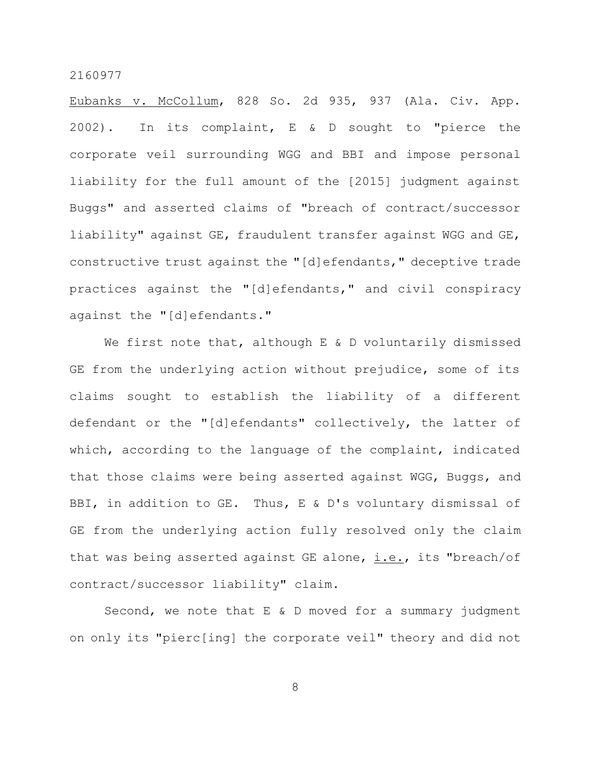Eubanks v. McCollum, 828 So. 2d 935, 937 (Ala. Civ. App. 2002). In its complaint, E & D sought to "pierce the corporate veil surrounding WGG and BBI and impose personal liability for the full amount of the [2015] judgment against Buggs" and asserted claims of "breach of contract/successor liability" against GE, fraudulent transfer against WGG and GE, constructive trust against the "[d]efendants," deceptive trade practices against the "[d]efendants," and civil conspiracy against the "[d]efendants."

We first note that, although E & D voluntarily dismissed GE from the underlying action without prejudice, some of its claims sought to establish the liability of a different defendant or the "[d]efendants" collectively, the latter of which, according to the language of the complaint, indicated that those claims were being asserted against WGG, Buggs, and BBI, in addition to GE. Thus, E & D's voluntary dismissal of GE from the underlying action fully resolved only the claim that was being asserted against GE alone, i.e., its "breach/of contract/successor liability" claim.

Second, we note that E & D moved for a summary judgment on only its "pierc[ing] the corporate veil" theory and did not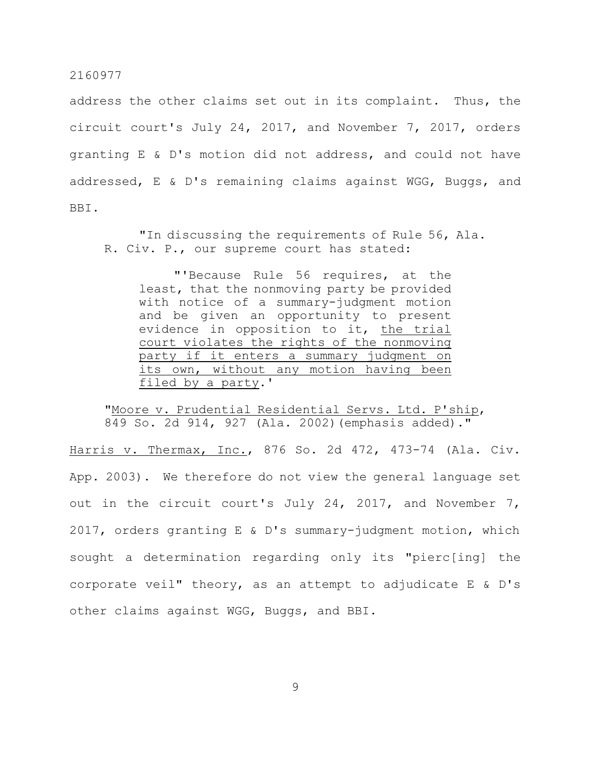address the other claims set out in its complaint. Thus, the circuit court's July 24, 2017, and November 7, 2017, orders granting E & D's motion did not address, and could not have addressed, E & D's remaining claims against WGG, Buggs, and BBI.

"In discussing the requirements of Rule 56, Ala. R. Civ. P., our supreme court has stated:

"'Because Rule 56 requires, at the least, that the nonmoving party be provided with notice of a summary-judgment motion and be given an opportunity to present evidence in opposition to it, the trial court violates the rights of the nonmoving party if it enters a summary judgment on its own, without any motion having been filed by a party.'

"Moore v. Prudential Residential Servs. Ltd. P'ship, 849 So. 2d 914, 927 (Ala. 2002)(emphasis added)."

Harris v. Thermax, Inc., 876 So. 2d 472, 473-74 (Ala. Civ. App. 2003). We therefore do not view the general language set out in the circuit court's July 24, 2017, and November 7, 2017, orders granting E & D's summary-judgment motion, which sought a determination regarding only its "pierc[ing] the corporate veil" theory, as an attempt to adjudicate E & D's other claims against WGG, Buggs, and BBI.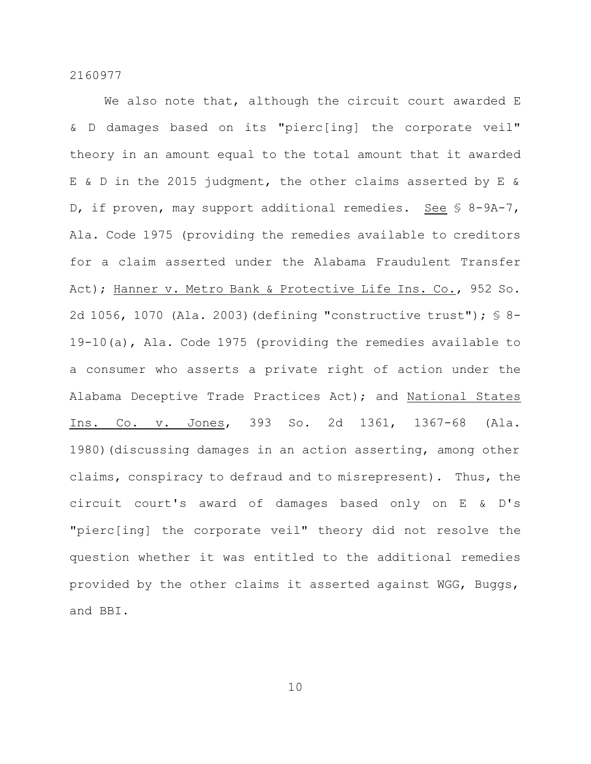We also note that, although the circuit court awarded E & D damages based on its "pierc[ing] the corporate veil" theory in an amount equal to the total amount that it awarded E & D in the 2015 judgment, the other claims asserted by E & D, if proven, may support additional remedies. See § 8-9A-7, Ala. Code 1975 (providing the remedies available to creditors for a claim asserted under the Alabama Fraudulent Transfer Act); Hanner v. Metro Bank & Protective Life Ins. Co., 952 So. 2d 1056, 1070 (Ala. 2003)(defining "constructive trust"); § 8- 19-10(a), Ala. Code 1975 (providing the remedies available to a consumer who asserts a private right of action under the Alabama Deceptive Trade Practices Act); and National States Ins. Co. v. Jones, 393 So. 2d 1361, 1367-68 (Ala. 1980) (discussing damages in an action asserting, among other claims, conspiracy to defraud and to misrepresent). Thus, the circuit court's award of damages based only on E & D's "pierc[ing] the corporate veil" theory did not resolve the question whether it was entitled to the additional remedies provided by the other claims it asserted against WGG, Buggs, and BBI.